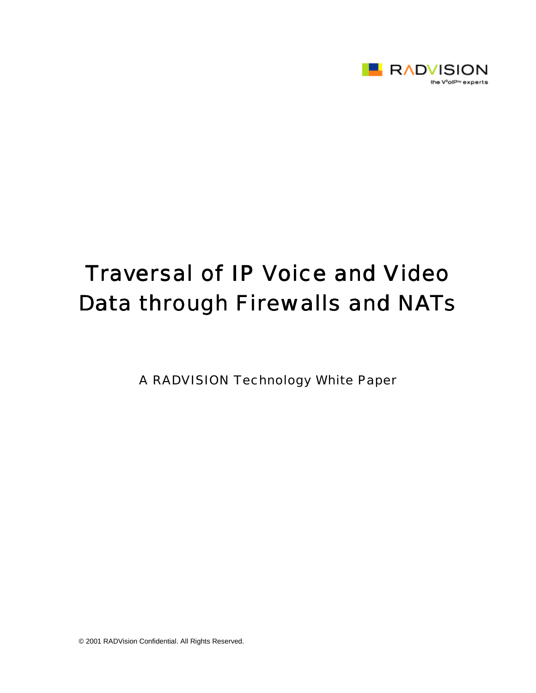

# Traversal of IP Voice and Video Data through Firewalls and NATs

A RADVISION Technology White Paper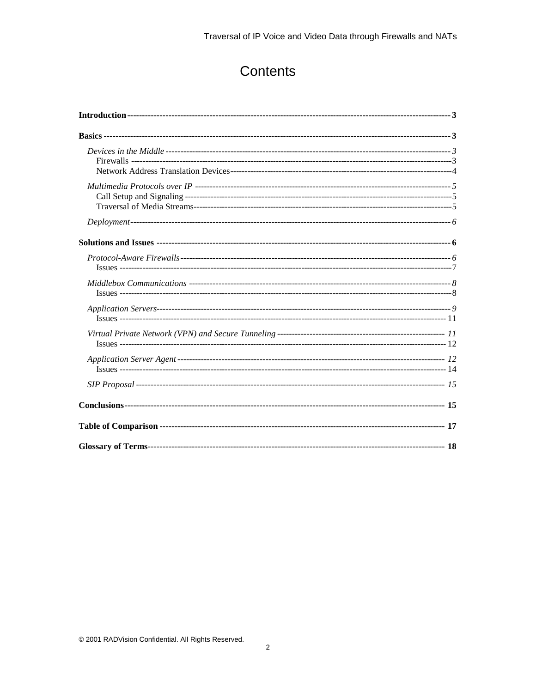# Contents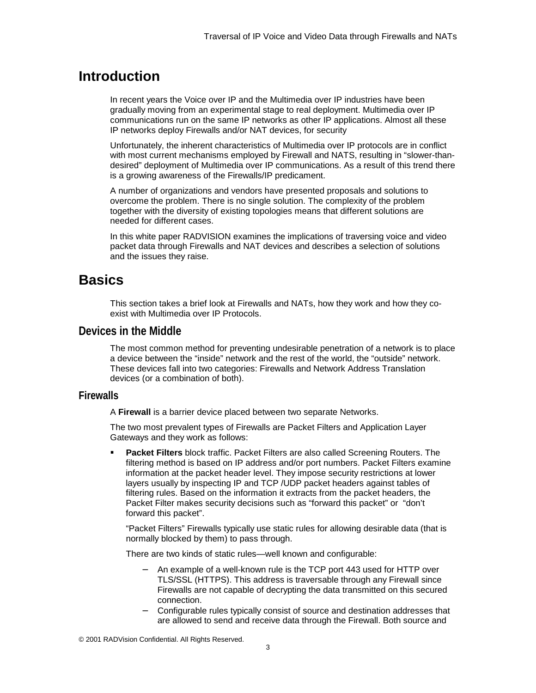# <span id="page-2-0"></span>**Introduction**

In recent years the Voice over IP and the Multimedia over IP industries have been gradually moving from an experimental stage to real deployment. Multimedia over IP communications run on the same IP networks as other IP applications. Almost all these IP networks deploy Firewalls and/or NAT devices, for security

Unfortunately, the inherent characteristics of Multimedia over IP protocols are in conflict with most current mechanisms employed by Firewall and NATS, resulting in "slower-thandesired" deployment of Multimedia over IP communications. As a result of this trend there is a growing awareness of the Firewalls/IP predicament.

A number of organizations and vendors have presented proposals and solutions to overcome the problem. There is no single solution. The complexity of the problem together with the diversity of existing topologies means that different solutions are needed for different cases.

In this white paper RADVISION examines the implications of traversing voice and video packet data through Firewalls and NAT devices and describes a selection of solutions and the issues they raise.

# **Basics**

This section takes a brief look at Firewalls and NATs, how they work and how they coexist with Multimedia over IP Protocols.

### **Devices in the Middle**

The most common method for preventing undesirable penetration of a network is to place a device between the "inside" network and the rest of the world, the "outside" network. These devices fall into two categories: Firewalls and Network Address Translation devices (or a combination of both).

#### **Firewalls**

A **Firewall** is a barrier device placed between two separate Networks.

The two most prevalent types of Firewalls are Packet Filters and Application Layer Gateways and they work as follows:

 **Packet Filters** block traffic. Packet Filters are also called Screening Routers. The filtering method is based on IP address and/or port numbers. Packet Filters examine information at the packet header level. They impose security restrictions at lower layers usually by inspecting IP and TCP /UDP packet headers against tables of filtering rules. Based on the information it extracts from the packet headers, the Packet Filter makes security decisions such as "forward this packet" or "don't forward this packet".

"Packet Filters" Firewalls typically use static rules for allowing desirable data (that is normally blocked by them) to pass through.

There are two kinds of static rules—well known and configurable:

- An example of a well-known rule is the TCP port 443 used for HTTP over TLS/SSL (HTTPS). This address is traversable through any Firewall since Firewalls are not capable of decrypting the data transmitted on this secured connection.
- − Configurable rules typically consist of source and destination addresses that are allowed to send and receive data through the Firewall. Both source and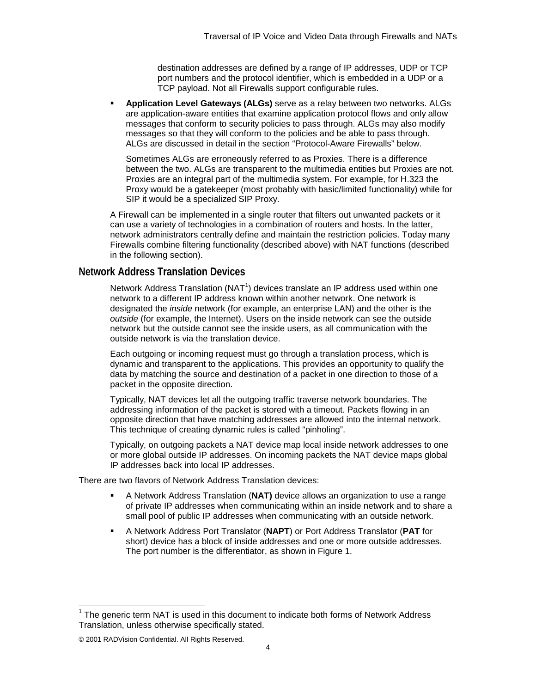destination addresses are defined by a range of IP addresses, UDP or TCP port numbers and the protocol identifier, which is embedded in a UDP or a TCP payload. Not all Firewalls support configurable rules.

<span id="page-3-0"></span> **Application Level Gateways (ALGs)** serve as a relay between two networks. ALGs are application-aware entities that examine application protocol flows and only allow messages that conform to security policies to pass through. ALGs may also modify messages so that they will conform to the policies and be able to pass through. ALGs are discussed in detail in the section "[Protocol-Aware Firewalls"](#page-5-0) below.

Sometimes ALGs are erroneously referred to as Proxies. There is a difference between the two. ALGs are transparent to the multimedia entities but Proxies are not. Proxies are an integral part of the multimedia system. For example, for H.323 the Proxy would be a gatekeeper (most probably with basic/limited functionality) while for SIP it would be a specialized SIP Proxy.

A Firewall can be implemented in a single router that filters out unwanted packets or it can use a variety of technologies in a combination of routers and hosts. In the latter, network administrators centrally define and maintain the restriction policies. Today many Firewalls combine filtering functionality (described above) with NAT functions (described in the following section).

#### **Network Address Translation Devices**

Network Address Translation (NAT<sup>1</sup>) devices translate an IP address used within one network to a different IP address known within another network. One network is designated the *inside* network (for example, an enterprise LAN) and the other is the *outside* (for example, the Internet). Users on the inside network can see the outside network but the outside cannot see the inside users, as all communication with the outside network is via the translation device.

Each outgoing or incoming request must go through a translation process, which is dynamic and transparent to the applications. This provides an opportunity to qualify the data by matching the source and destination of a packet in one direction to those of a packet in the opposite direction.

Typically, NAT devices let all the outgoing traffic traverse network boundaries. The addressing information of the packet is stored with a timeout. Packets flowing in an opposite direction that have matching addresses are allowed into the internal network. This technique of creating dynamic rules is called "pinholing".

Typically, on outgoing packets a NAT device map local inside network addresses to one or more global outside IP addresses. On incoming packets the NAT device maps global IP addresses back into local IP addresses.

There are two flavors of Network Address Translation devices:

- A Network Address Translation (**NAT)** device allows an organization to use a range of private IP addresses when communicating within an inside network and to share a small pool of public IP addresses when communicating with an outside network.
- A Network Address Port Translator (**NAPT**) or Port Address Translator (**PAT** for short) device has a block of inside addresses and one or more outside addresses. The port number is the differentiator, as shown in [Figure 1.](#page-4-0)

© 2001 RADVision Confidential. All Rights Reserved.

-

<sup>1</sup> The generic term NAT is used in this document to indicate both forms of Network Address Translation, unless otherwise specifically stated.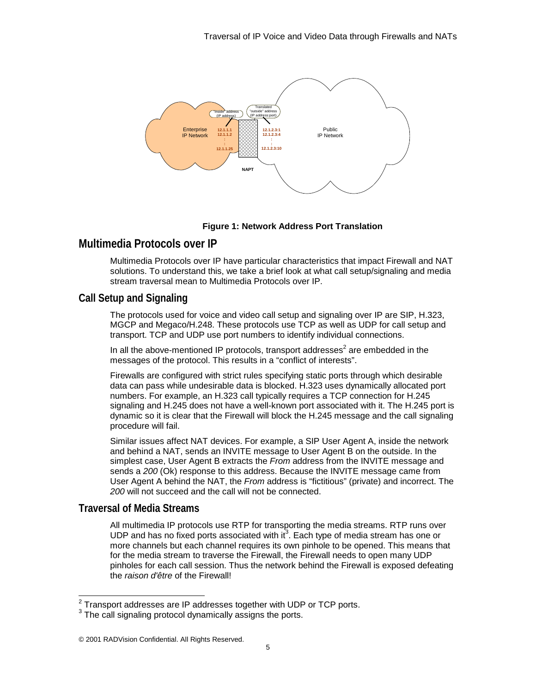<span id="page-4-0"></span>

#### **Figure 1: Network Address Port Translation**

## **Multimedia Protocols over IP**

Multimedia Protocols over IP have particular characteristics that impact Firewall and NAT solutions. To understand this, we take a brief look at what call setup/signaling and media stream traversal mean to Multimedia Protocols over IP.

#### **Call Setup and Signaling**

The protocols used for voice and video call setup and signaling over IP are SIP, H.323, MGCP and Megaco/H.248. These protocols use TCP as well as UDP for call setup and transport. TCP and UDP use port numbers to identify individual connections.

In all the above-mentioned IP protocols, transport addresses<sup>2</sup> are embedded in the messages of the protocol. This results in a "conflict of interests".

Firewalls are configured with strict rules specifying static ports through which desirable data can pass while undesirable data is blocked. H.323 uses dynamically allocated port numbers. For example, an H.323 call typically requires a TCP connection for H.245 signaling and H.245 does not have a well-known port associated with it. The H.245 port is dynamic so it is clear that the Firewall will block the H.245 message and the call signaling procedure will fail.

Similar issues affect NAT devices. For example, a SIP User Agent A, inside the network and behind a NAT, sends an INVITE message to User Agent B on the outside. In the simplest case, User Agent B extracts the *From* address from the INVITE message and sends a *200* (Ok) response to this address. Because the INVITE message came from User Agent A behind the NAT, the *From* address is "fictitious" (private) and incorrect. The *200* will not succeed and the call will not be connected.

### **Traversal of Media Streams**

All multimedia IP protocols use RTP for transporting the media streams. RTP runs over UDP and has no fixed ports associated with  $i<sup>3</sup>$ . Each type of media stream has one or more channels but each channel requires its own pinhole to be opened. This means that for the media stream to traverse the Firewall, the Firewall needs to open many UDP pinholes for each call session. Thus the network behind the Firewall is exposed defeating the *raison d'être* of the Firewall!

 2 Transport addresses are IP addresses together with UDP or TCP ports.

 $3$  The call signaling protocol dynamically assigns the ports.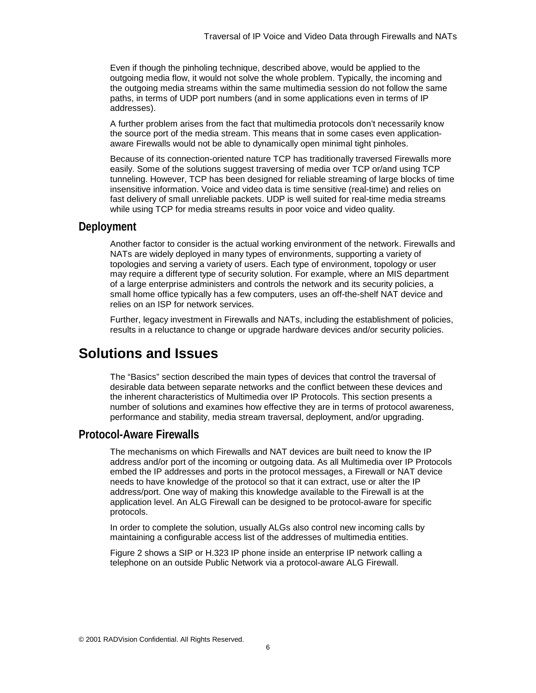<span id="page-5-0"></span>Even if though the pinholing technique, described above, would be applied to the outgoing media flow, it would not solve the whole problem. Typically, the incoming and the outgoing media streams within the same multimedia session do not follow the same paths, in terms of UDP port numbers (and in some applications even in terms of IP addresses).

A further problem arises from the fact that multimedia protocols don't necessarily know the source port of the media stream. This means that in some cases even applicationaware Firewalls would not be able to dynamically open minimal tight pinholes.

Because of its connection-oriented nature TCP has traditionally traversed Firewalls more easily. Some of the solutions suggest traversing of media over TCP or/and using TCP tunneling. However, TCP has been designed for reliable streaming of large blocks of time insensitive information. Voice and video data is time sensitive (real-time) and relies on fast delivery of small unreliable packets. UDP is well suited for real-time media streams while using TCP for media streams results in poor voice and video quality.

# **Deployment**

Another factor to consider is the actual working environment of the network. Firewalls and NATs are widely deployed in many types of environments, supporting a variety of topologies and serving a variety of users. Each type of environment, topology or user may require a different type of security solution. For example, where an MIS department of a large enterprise administers and controls the network and its security policies, a small home office typically has a few computers, uses an off-the-shelf NAT device and relies on an ISP for network services.

Further, legacy investment in Firewalls and NATs, including the establishment of policies, results in a reluctance to change or upgrade hardware devices and/or security policies.

# **Solutions and Issues**

The "Basics" section described the main types of devices that control the traversal of desir[able dat](#page-2-0)a between separate networks and the conflict between these devices and the inherent characteristics of Multimedia over IP Protocols. This section presents a number of solutions and examines how effective they are in terms of protocol awareness, performance and stability, media stream traversal, deployment, and/or upgrading.

## **Protocol-Aware Firewalls**

The mechanisms on which Firewalls and NAT devices are built need to know the IP address and/or port of the incoming or outgoing data. As all Multimedia over IP Protocols embed the IP addresses and ports in the protocol messages, a Firewall or NAT device needs to have knowledge of the protocol so that it can extract, use or alter the IP address/port. One way of making this knowledge available to the Firewall is at the application level. An ALG Firewall can be designed to be protocol-aware for specific protocols.

In order to complete the solution, usually ALGs also control new incoming calls by maintaining a configurable access list of the addresses of multimedia entities.

Figure 2 shows a SIP or H.323 IP phone inside an enterprise IP network calling a [telephone](#page-6-0) on an outside Public Network via a protocol-aware ALG Firewall.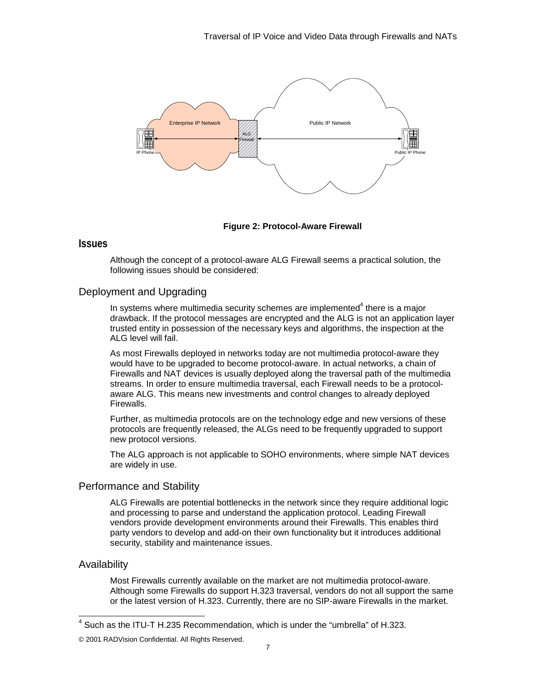<span id="page-6-0"></span>

**Figure 2: Protocol-Aware Firewall** 

#### **Issues**

Although the concept of a protocol-aware ALG Firewall seems a practical solution, the following issues should be considered:

#### Deployment and Upgrading

In systems where multimedia security schemes are implemented $4$  there is a major drawback. If the protocol messages are encrypted and the ALG is not an application layer trusted entity in possession of the necessary keys and algorithms, the inspection at the ALG level will fail.

As most Firewalls deployed in networks today are not multimedia protocol-aware they would have to be upgraded to become protocol-aware. In actual networks, a chain of Firewalls and NAT devices is usually deployed along the traversal path of the multimedia streams. In order to ensure multimedia traversal, each Firewall needs to be a protocolaware ALG. This means new investments and control changes to already deployed Firewalls.

Further, as multimedia protocols are on the technology edge and new versions of these protocols are frequently released, the ALGs need to be frequently upgraded to support new protocol versions.

The ALG approach is not applicable to SOHO environments, where simple NAT devices are widely in use.

#### Performance and Stability

ALG Firewalls are potential bottlenecks in the network since they require additional logic and processing to parse and understand the application protocol. Leading Firewall vendors provide development environments around their Firewalls. This enables third party vendors to develop and add-on their own functionality but it introduces additional security, stability and maintenance issues.

#### Availability

 $\overline{\phantom{a}}$ 

Most Firewalls currently available on the market are not multimedia protocol-aware. Although some Firewalls do support H.323 traversal, vendors do not all support the same or the latest version of H.323. Currently, there are no SIP-aware Firewalls in the market.

 $<sup>4</sup>$  Such as the ITU-T H.235 Recommendation, which is under the "umbrella" of H.323.</sup>

<sup>© 2001</sup> RADVision Confidential. All Rights Reserved.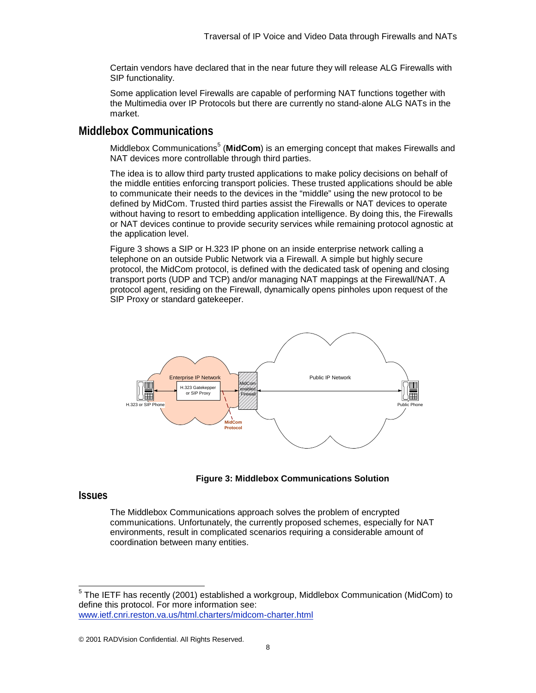<span id="page-7-0"></span>Certain vendors have declared that in the near future they will release ALG Firewalls with SIP functionality.

Some application level Firewalls are capable of performing NAT functions together with the Multimedia over IP Protocols but there are currently no stand-alone ALG NATs in the market.

### **Middlebox Communications**

Middlebox Communications<sup>5</sup> (MidCom) is an emerging concept that makes Firewalls and NAT devices more controllable through third parties.

The idea is to allow third party trusted applications to make policy decisions on behalf of the middle entities enforcing transport policies. These trusted applications should be able to communicate their needs to the devices in the "middle" using the new protocol to be defined by MidCom. Trusted third parties assist the Firewalls or NAT devices to operate without having to resort to embedding application intelligence. By doing this, the Firewalls or NAT devices continue to provide security services while remaining protocol agnostic at the application level.

Figure 3 shows a SIP or H.323 IP phone on an inside enterprise network calling a telephone on an outside Public Network via a Firewall. A simple but highly secure protocol, the MidCom protocol, is defined with the dedicated task of opening and closing transport ports (UDP and TCP) and/or managing NAT mappings at the Firewall/NAT. A protocol agent, residing on the Firewall, dynamically opens pinholes upon request of the SIP Proxy or standard gatekeeper.



**Figure 3: Middlebox Communications Solution** 

#### **Issues**

The Middlebox Communications approach solves the problem of encrypted communications. Unfortunately, the currently proposed schemes, especially for NAT environments, result in complicated scenarios requiring a considerable amount of coordination between many entities.

 5 The IETF has recently (2001) established a workgroup, Middlebox Communication (MidCom) to define this protocol. For more information see: www.ietf.cnri.reston.va.us/html.charters/midcom-charter.html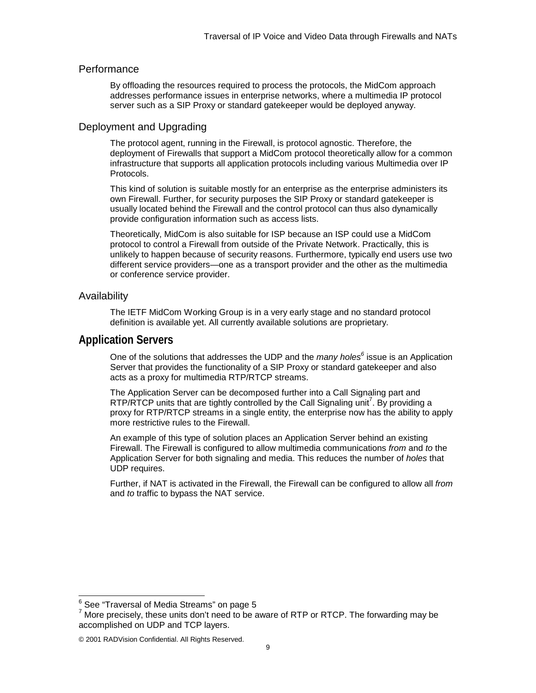#### <span id="page-8-0"></span>**Performance**

By offloading the resources required to process the protocols, the MidCom approach addresses performance issues in enterprise networks, where a multimedia IP protocol server such as a SIP Proxy or standard gatekeeper would be deployed anyway.

#### Deployment and Upgrading

The protocol agent, running in the Firewall, is protocol agnostic. Therefore, the deployment of Firewalls that support a MidCom protocol theoretically allow for a common infrastructure that supports all application protocols including various Multimedia over IP Protocols.

This kind of solution is suitable mostly for an enterprise as the enterprise administers its own Firewall. Further, for security purposes the SIP Proxy or standard gatekeeper is usually located behind the Firewall and the control protocol can thus also dynamically provide configuration information such as access lists.

Theoretically, MidCom is also suitable for ISP because an ISP could use a MidCom protocol to control a Firewall from outside of the Private Network. Practically, this is unlikely to happen because of security reasons. Furthermore, typically end users use two different service providers—one as a transport provider and the other as the multimedia or conference service provider.

#### Availability

The IETF MidCom Working Group is in a very early stage and no standard protocol definition is available yet. All currently available solutions are proprietary.

### **Application Servers**

One of the solutions that addresses the UDP and the *many holes<sup>6</sup>* issue is an Application Server that provides the functionality of a SIP Proxy or standard gatekeeper and also acts as a proxy for multimedia RTP/RTCP streams.

The Application Server can be decomposed further into a Call Signaling part and RTP/RTCP units that are tightly controlled by the Call Signaling  $unit<sup>7</sup>$ . By providing a proxy for RTP/RTCP streams in a single entity, the enterprise now has the ability to apply more restrictive rules to the Firewall.

An example of this type of solution places an Application Server behind an existing Firewall. The Firewall is configured to allow multimedia communications *from* and *to* the Application Server for both signaling and media. This reduces the number of *holes* that UDP requires.

Further, if NAT is activated in the Firewall, the Firewall can be configured to allow all *from* and *to* traffic to bypass the NAT service.

 6 See "Traversal of Media Streams" on page 5

 $7$  More precisely, these units don't need to be aware of RTP or RTCP. The forwarding may be accomplished on UDP and TCP layers.

<sup>© 2001</sup> RADVision Confidential. All Rights Reserved.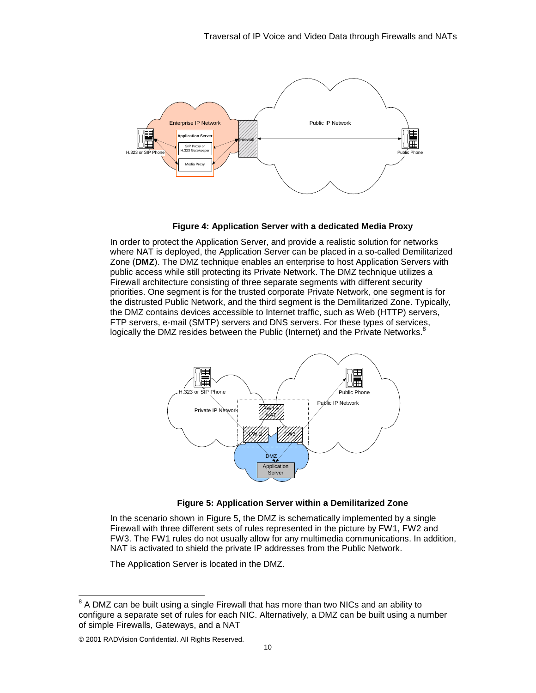

**Figure 4: Application Server with a dedicated Media Proxy** 

In order to protect the Application Server, and provide a realistic solution for networks where NAT is deployed, the Application Server can be placed in a so-called Demilitarized Zone (**DMZ**). The DMZ technique enables an enterprise to host Application Servers with public access while still protecting its Private Network. The DMZ technique utilizes a Firewall architecture consisting of three separate segments with different security priorities. One segment is for the trusted corporate Private Network, one segment is for the distrusted Public Network, and the third segment is the Demilitarized Zone. Typically, the DMZ contains devices accessible to Internet traffic, such as Web (HTTP) servers, FTP servers, e-mail (SMTP) servers and DNS servers. For these types of services, logically the DMZ resides between the Public (Internet) and the Private Networks.<sup>8</sup>



**Figure 5: Application Server within a Demilitarized Zone** 

In the scenario shown in Figure 5, the DMZ is schematically implemented by a single Firewall with three different sets of rules represented in the picture by FW1, FW2 and FW3. The FW1 rules do not usually allow for any multimedia communications. In addition, NAT is activated to shield the private IP addresses from the Public Network.

The Application Server is located in the DMZ.

<sup>————————————————————&</sup>lt;br><sup>8</sup> A DMZ can be built using a single Firewall that has more than two NICs and an ability to configure a separate set of rules for each NIC. Alternatively, a DMZ can be built using a number of simple Firewalls, Gateways, and a NAT

<sup>© 2001</sup> RADVision Confidential. All Rights Reserved.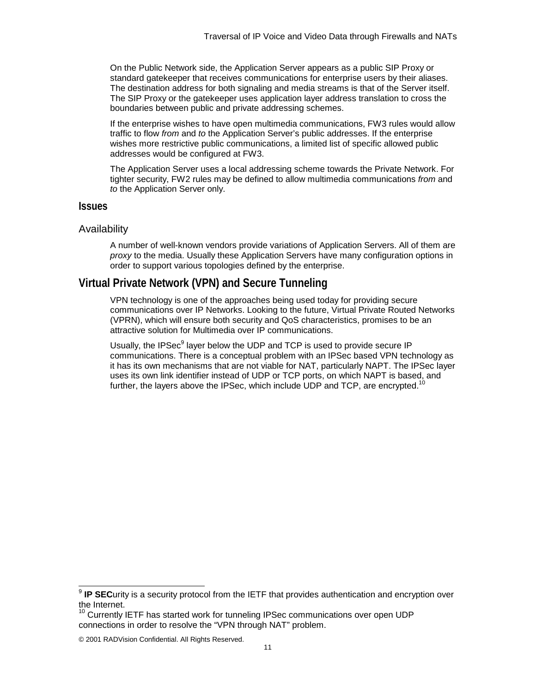<span id="page-10-0"></span>On the Public Network side, the Application Server appears as a public SIP Proxy or standard gatekeeper that receives communications for enterprise users by their aliases. The destination address for both signaling and media streams is that of the Server itself. The SIP Proxy or the gatekeeper uses application layer address translation to cross the boundaries between public and private addressing schemes.

If the enterprise wishes to have open multimedia communications, FW3 rules would allow traffic to flow *from* and *to* the Application Server's public addresses. If the enterprise wishes more restrictive public communications, a limited list of specific allowed public addresses would be configured at FW3.

The Application Server uses a local addressing scheme towards the Private Network. For tighter security, FW2 rules may be defined to allow multimedia communications *from* and *to* the Application Server only.

#### **Issues**

#### Availability

A number of well-known vendors provide variations of Application Servers. All of them are *proxy* to the media. Usually these Application Servers have many configuration options in order to support various topologies defined by the enterprise.

## **Virtual Private Network (VPN) and Secure Tunneling**

VPN technology is one of the approaches being used today for providing secure communications over IP Networks. Looking to the future, Virtual Private Routed Networks (VPRN), which will ensure both security and QoS characteristics, promises to be an attractive solution for Multimedia over IP communications.

Usually, the IPSec $<sup>9</sup>$  layer below the UDP and TCP is used to provide secure IP</sup> communications. There is a conceptual problem with an IPSec based VPN technology as it has its own mechanisms that are not viable for NAT, particularly NAPT. The IPSec layer uses its own link identifier instead of UDP or TCP ports, on which NAPT is based, and further, the layers above the IPSec, which include UDP and TCP, are encrypted.<sup>1</sup>

<sup>9</sup> **IP SEC**urity is a security protocol from the IETF that provides authentication and encryption over the Internet.

<sup>&</sup>lt;sup>10</sup> Currently IETF has started work for tunneling IPSec communications over open UDP connections in order to resolve the "VPN through NAT" problem.

<sup>© 2001</sup> RADVision Confidential. All Rights Reserved.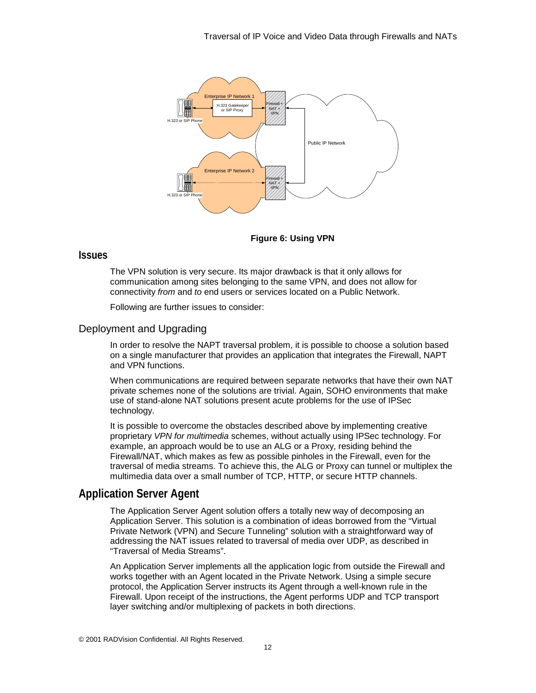<span id="page-11-0"></span>

**Figure 6: Using VPN** 

#### **Issues**

The VPN solution is very secure. Its major drawback is that it only allows for communication among sites belonging to the same VPN, and does not allow for connectivity *from* and *to* end users or services located on a Public Network.

Following are further issues to consider:

#### Deployment and Upgrading

In order to resolve the NAPT traversal problem, it is possible to choose a solution based on a single manufacturer that provides an application that integrates the Firewall, NAPT and VPN functions.

When communications are required between separate networks that have their own NAT private schemes none of the solutions are trivial. Again, SOHO environments that make use of stand-alone NAT solutions present acute problems for the use of IPSec technology.

It is possible to overcome the obstacles described above by implementing creative proprietary *VPN for multimedia* schemes, without actually using IPSec technology. For example, an approach would be to use an ALG or a Proxy, residing behind the Firewall/NAT, which makes as few as possible pinholes in the Firewall, even for the traversal of media streams. To achieve this, the ALG or Proxy can tunnel or multiplex the multimedia data over a small number of TCP, HTTP, or secure HTTP channels.

## **Application Server Agent**

The Application Server Agent solution offers a totally new way of decomposing an Application Server. This solution is a combination of ideas borrowed from the "[Virtual](#page-10-0)  [Private Network \(VPN\) and Secure Tunneling"](#page-10-0) solution with a straightforward way of addressing the NAT issues related to traversal of media over UDP, as described in "[Traversal of Media Streams"](#page-4-0).

An Application Server implements all the application logic from outside the Firewall and works together with an Agent located in the Private Network. Using a simple secure protocol, the Application Server instructs its Agent through a well-known rule in the Firewall. Upon receipt of the instructions, the Agent performs UDP and TCP transport layer switching and/or multiplexing of packets in both directions.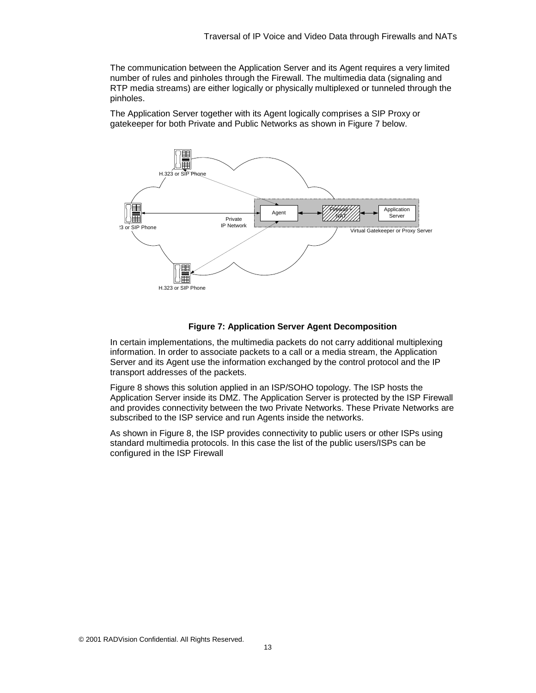The communication between the Application Server and its Agent requires a very limited number of rules and pinholes through the Firewall. The multimedia data (signaling and RTP media streams) are either logically or physically multiplexed or tunneled through the pinholes.

The Application Server together with its Agent logically comprises a SIP Proxy or gatekeeper for both Private and Public Networks as shown in Figure 7 below.



#### **Figure 7: Application Server Agent Decomposition**

In certain implementations, the multimedia packets do not carry additional multiplexing information. In order to associate packets to a call or a media stream, the Application Server and its Agent use the information exchanged by the control protocol and the IP transport addresses of the packets.

[Figure 8](#page-13-0) shows this solution applied in an ISP/SOHO topology. The ISP hosts the Application Server inside its DMZ. The Application Server is protected by the ISP Firewall and provides connectivity between the two Private Networks. These Private Networks are subscribed to the ISP service and run Agents inside the networks.

As shown in [Figure 8,](#page-13-0) the ISP provides connectivity to public users or other ISPs using standard multimedia protocols. In this case the list of the public users/ISPs can be configured in the ISP Firewall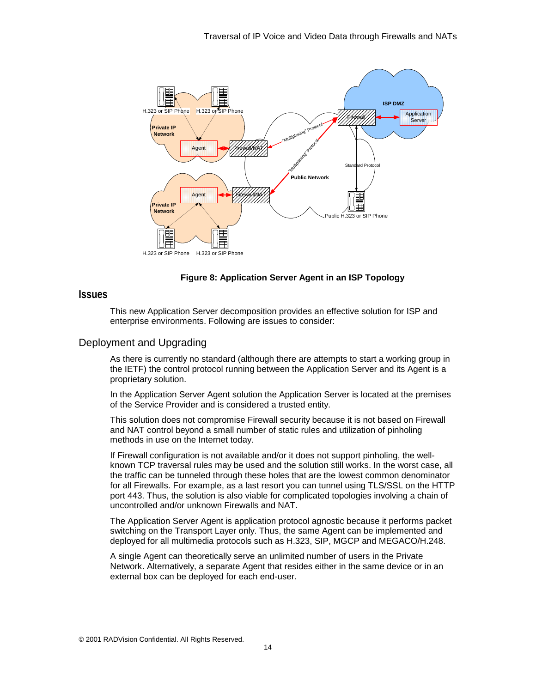<span id="page-13-0"></span>

#### **Figure 8: Application Server Agent in an ISP Topology**

#### **Issues**

This new Application Server decomposition provides an effective solution for ISP and enterprise environments. Following are issues to consider:

#### Deployment and Upgrading

As there is currently no standard (although there are attempts to start a working group in the IETF) the control protocol running between the Application Server and its Agent is a proprietary solution.

In the Application Server Agent solution the Application Server is located at the premises of the Service Provider and is considered a trusted entity.

This solution does not compromise Firewall security because it is not based on Firewall and NAT control beyond a small number of static rules and utilization of pinholing methods in use on the Internet today.

If Firewall configuration is not available and/or it does not support pinholing, the wellknown TCP traversal rules may be used and the solution still works. In the worst case, all the traffic can be tunneled through these holes that are the lowest common denominator for all Firewalls. For example, as a last resort you can tunnel using TLS/SSL on the HTTP port 443. Thus, the solution is also viable for complicated topologies involving a chain of uncontrolled and/or unknown Firewalls and NAT.

The Application Server Agent is application protocol agnostic because it performs packet switching on the Transport Layer only. Thus, the same Agent can be implemented and deployed for all multimedia protocols such as H.323, SIP, MGCP and MEGACO/H.248.

A single Agent can theoretically serve an unlimited number of users in the Private Network. Alternatively, a separate Agent that resides either in the same device or in an external box can be deployed for each end-user.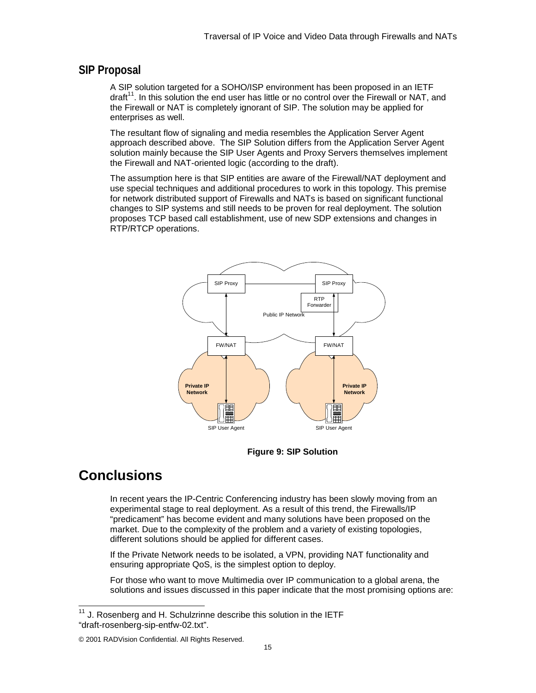# <span id="page-14-0"></span>**SIP Proposal**

A SIP solution targeted for a SOHO/ISP environment has been proposed in an IETF  $\text{drift}^{11}$ . In this solution the end user has little or no control over the Firewall or NAT, and the Firewall or NAT is completely ignorant of SIP. The solution may be applied for enterprises as well.

The resultant flow of signaling and media resembles the Application Server Agent approach described above. The SIP Solution differs from the Application Server Agent solution mainly because the SIP User Agents and Proxy Servers themselves implement the Firewall and NAT-oriented logic (according to the draft).

The assumption here is that SIP entities are aware of the Firewall/NAT deployment and use special techniques and additional procedures to work in this topology. This premise for network distributed support of Firewalls and NATs is based on significant functional changes to SIP systems and still needs to be proven for real deployment. The solution proposes TCP based call establishment, use of new SDP extensions and changes in RTP/RTCP operations.



**Figure 9: SIP Solution** 

# **Conclusions**

-

In recent years the IP-Centric Conferencing industry has been slowly moving from an experimental stage to real deployment. As a result of this trend, the Firewalls/IP "predicament" has become evident and many solutions have been proposed on the market. Due to the complexity of the problem and a variety of existing topologies, different solutions should be applied for different cases.

If the Private Network needs to be isolated, a VPN, providing NAT functionality and ensuring appropriate QoS, is the simplest option to deploy.

For those who want to move Multimedia over IP communication to a global arena, the solutions and issues discussed in this paper indicate that the most promising options are:

 $11$  J. Rosenberg and H. Schulzrinne describe this solution in the IETF "draft-rosenberg-sip-entfw-02.txt".

<sup>© 2001</sup> RADVision Confidential. All Rights Reserved.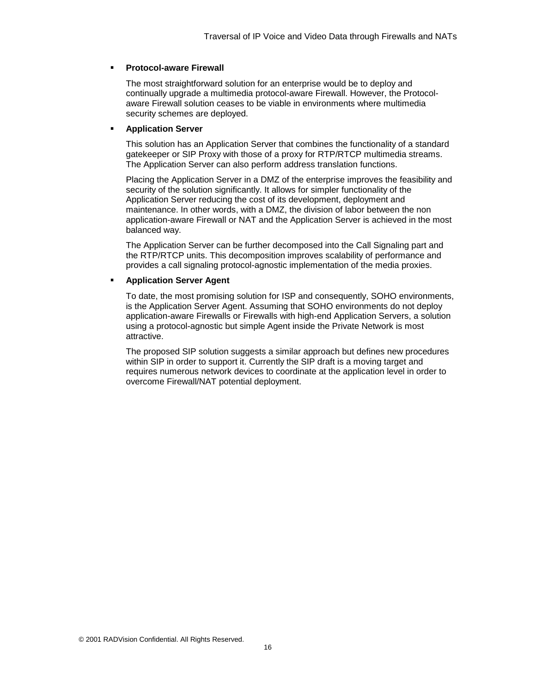#### **Protocol-aware Firewall**

The most straightforward solution for an enterprise would be to deploy and continually upgrade a multimedia protocol-aware Firewall. However, the Protocolaware Firewall solution ceases to be viable in environments where multimedia security schemes are deployed.

#### **Application Server**

This solution has an Application Server that combines the functionality of a standard gatekeeper or SIP Proxy with those of a proxy for RTP/RTCP multimedia streams. The Application Server can also perform address translation functions.

Placing the Application Server in a DMZ of the enterprise improves the feasibility and security of the solution significantly. It allows for simpler functionality of the Application Server reducing the cost of its development, deployment and maintenance. In other words, with a DMZ, the division of labor between the non application-aware Firewall or NAT and the Application Server is achieved in the most balanced way.

The Application Server can be further decomposed into the Call Signaling part and the RTP/RTCP units. This decomposition improves scalability of performance and provides a call signaling protocol-agnostic implementation of the media proxies.

#### **Application Server Agent**

To date, the most promising solution for ISP and consequently, SOHO environments, is the Application Server Agent. Assuming that SOHO environments do not deploy application-aware Firewalls or Firewalls with high-end Application Servers, a solution using a protocol-agnostic but simple Agent inside the Private Network is most attractive.

The proposed SIP solution suggests a similar approach but defines new procedures within SIP in order to support it. Currently the SIP draft is a moving target and requires numerous network devices to coordinate at the application level in order to overcome Firewall/NAT potential deployment.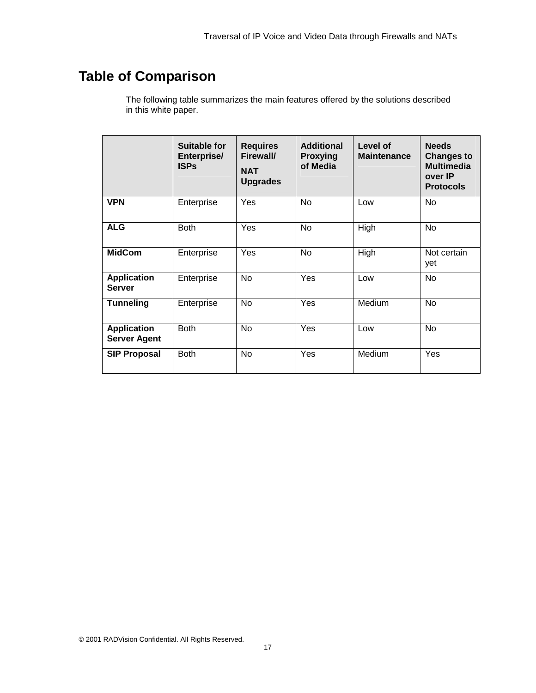# <span id="page-16-0"></span>**Table of Comparison**

The following table summarizes the main features offered by the solutions described in this white paper.

|                                           | <b>Suitable for</b><br>Enterprise/<br><b>ISPs</b> | <b>Requires</b><br><b>Firewall/</b><br><b>NAT</b><br><b>Upgrades</b> | <b>Additional</b><br><b>Proxying</b><br>of Media | Level of<br><b>Maintenance</b> | <b>Needs</b><br><b>Changes to</b><br><b>Multimedia</b><br>over IP<br><b>Protocols</b> |
|-------------------------------------------|---------------------------------------------------|----------------------------------------------------------------------|--------------------------------------------------|--------------------------------|---------------------------------------------------------------------------------------|
| <b>VPN</b>                                | Enterprise                                        | Yes                                                                  | No                                               | Low                            | No.                                                                                   |
| <b>ALG</b>                                | <b>Both</b>                                       | Yes                                                                  | No                                               | High                           | No.                                                                                   |
| <b>MidCom</b>                             | Enterprise                                        | Yes                                                                  | No                                               | High                           | Not certain<br>yet                                                                    |
| <b>Application</b><br><b>Server</b>       | Enterprise                                        | No                                                                   | Yes                                              | Low                            | No.                                                                                   |
| <b>Tunneling</b>                          | Enterprise                                        | No                                                                   | Yes                                              | Medium                         | No.                                                                                   |
| <b>Application</b><br><b>Server Agent</b> | <b>Both</b>                                       | No                                                                   | Yes                                              | Low                            | No.                                                                                   |
| <b>SIP Proposal</b>                       | <b>Both</b>                                       | No                                                                   | Yes                                              | Medium                         | Yes                                                                                   |